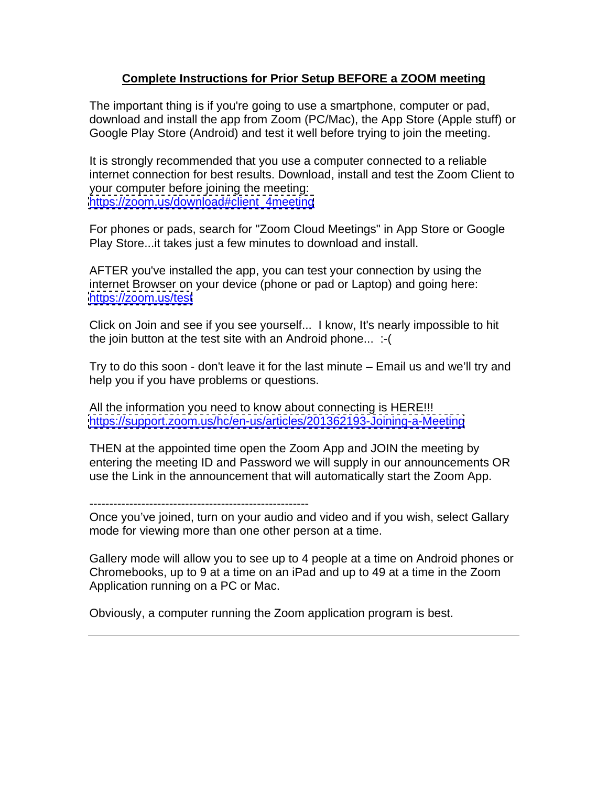## **Complete Instructions for Prior Setup BEFORE a ZOOM meeting**

The important thing is if you're going to use a smartphone, computer or pad, download and install the app from Zoom (PC/Mac), the App Store (Apple stuff) or Google Play Store (Android) and test it well before trying to join the meeting.

It is strongly recommended that you use a computer connected to a reliable internet connection for best results. Download, install and test the Zoom Client to your computer before joining the meeting: [https://zoom.us/download#client\\_4meeting](https://zoom.us/download#client_4meeting)

For phones or pads, search for "Zoom Cloud Meetings" in App Store or Google Play Store...it takes just a few minutes to download and install.

AFTER you've installed the app, you can test your connection by using the internet Browser on your device (phone or pad or Laptop) and going here: <https://zoom.us/test>

Click on Join and see if you see yourself... I know, It's nearly impossible to hit the join button at the test site with an Android phone... :-(

Try to do this soon - don't leave it for the last minute – Email us and we'll try and help you if you have problems or questions.

All the information you need to know about connecting is HERE!!! <https://support.zoom.us/hc/en-us/articles/201362193-Joining-a-Meeting>

THEN at the appointed time open the Zoom App and JOIN the meeting by entering the meeting ID and Password we will supply in our announcements OR use the Link in the announcement that will automatically start the Zoom App.

-------------------------------------------------------

Once you've joined, turn on your audio and video and if you wish, select Gallary mode for viewing more than one other person at a time.

Gallery mode will allow you to see up to 4 people at a time on Android phones or Chromebooks, up to 9 at a time on an iPad and up to 49 at a time in the Zoom Application running on a PC or Mac.

Obviously, a computer running the Zoom application program is best.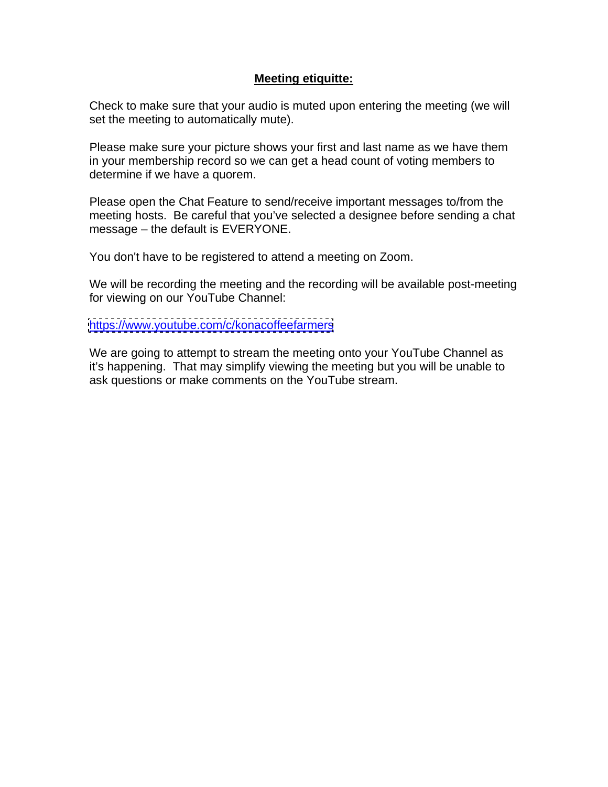## **Meeting etiquitte:**

Check to make sure that your audio is muted upon entering the meeting (we will set the meeting to automatically mute).

Please make sure your picture shows your first and last name as we have them in your membership record so we can get a head count of voting members to determine if we have a quorem.

Please open the Chat Feature to send/receive important messages to/from the meeting hosts. Be careful that you've selected a designee before sending a chat message – the default is EVERYONE.

You don't have to be registered to attend a meeting on Zoom.

We will be recording the meeting and the recording will be available post-meeting for viewing on our YouTube Channel:

<https://www.youtube.com/c/konacoffeefarmers>

We are going to attempt to stream the meeting onto your YouTube Channel as it's happening. That may simplify viewing the meeting but you will be unable to ask questions or make comments on the YouTube stream.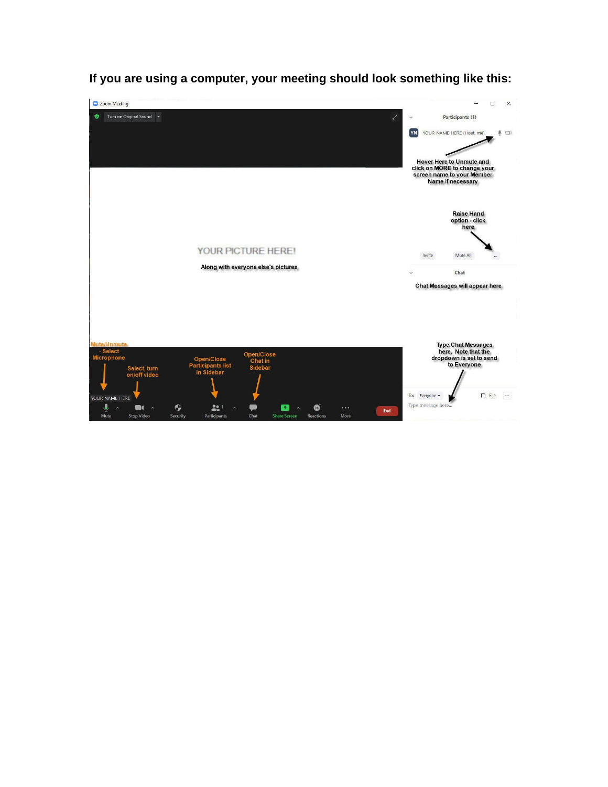

**If you are using a computer, your meeting should look something like this:**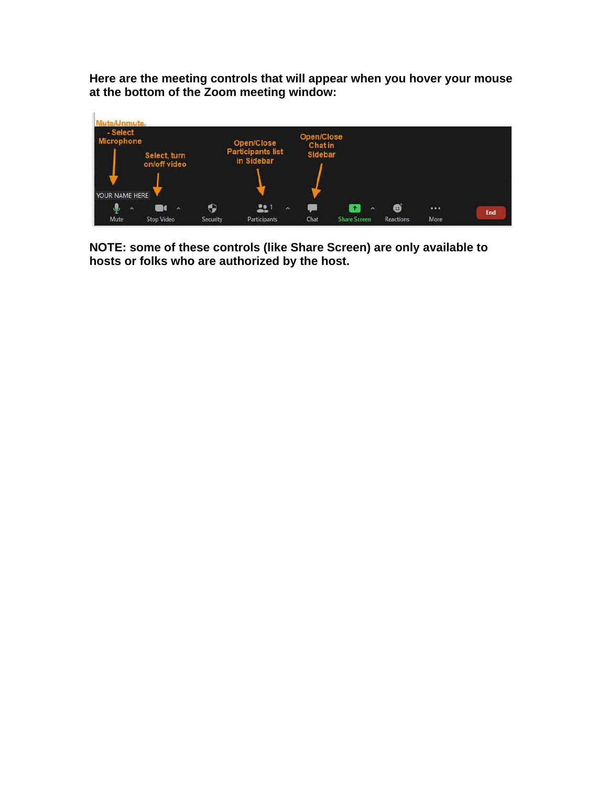**Here are the meeting controls that will appear when you hover your mouse at the bottom of the Zoom meeting window:**



**NOTE: some of these controls (like Share Screen) are only available to hosts or folks who are authorized by the host.**